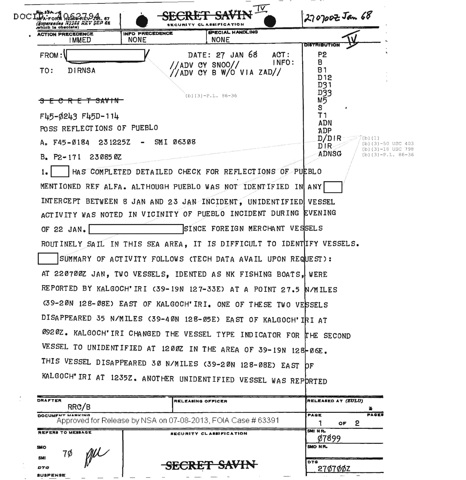

| <b>DRAFTER</b><br>RRC/B       | <b>RELEASING OFFICER</b>                                     | RELEASED AT (ZULU) |                                              |
|-------------------------------|--------------------------------------------------------------|--------------------|----------------------------------------------|
| DOCUMENT MARKING              | Approved for Release by NSA on 07-08-2013, FOIA Case # 63391 | <b>IPAGE</b><br>OF | <b>PAGES</b>                                 |
| <b>REFERS TO MESSAGE</b>      | SECURITY CLASSIFICATION                                      | ISMI NR.           |                                              |
| <b>SMO</b><br>7Ø              |                                                              | <b>ISMONR.</b>     |                                              |
| <b>SMI</b><br><b>DTG</b>      | SECRET SAVIN                                                 | IDTG               | the company of the company of the company of |
| <b><i><u>CHODEMOR</u></i></b> |                                                              | 270700Z            |                                              |